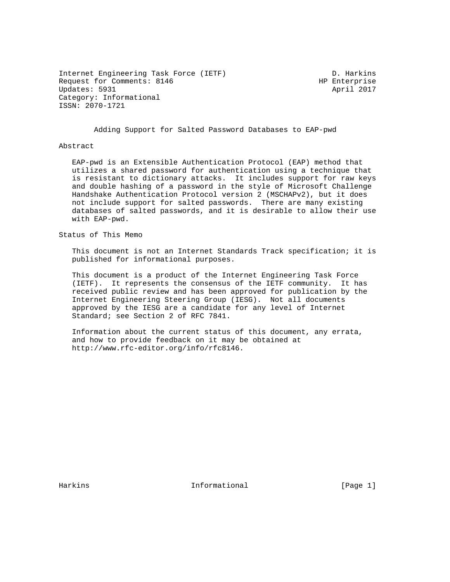Internet Engineering Task Force (IETF) The Control of Muslim D. Harkins Request for Comments: 8146 HP Enterprise Updates: 5931 April 2017 Category: Informational ISSN: 2070-1721

Adding Support for Salted Password Databases to EAP-pwd

#### Abstract

 EAP-pwd is an Extensible Authentication Protocol (EAP) method that utilizes a shared password for authentication using a technique that is resistant to dictionary attacks. It includes support for raw keys and double hashing of a password in the style of Microsoft Challenge Handshake Authentication Protocol version 2 (MSCHAPv2), but it does not include support for salted passwords. There are many existing databases of salted passwords, and it is desirable to allow their use with EAP-pwd.

Status of This Memo

 This document is not an Internet Standards Track specification; it is published for informational purposes.

 This document is a product of the Internet Engineering Task Force (IETF). It represents the consensus of the IETF community. It has received public review and has been approved for publication by the Internet Engineering Steering Group (IESG). Not all documents approved by the IESG are a candidate for any level of Internet Standard; see Section 2 of RFC 7841.

 Information about the current status of this document, any errata, and how to provide feedback on it may be obtained at http://www.rfc-editor.org/info/rfc8146.

Harkins **Informational Informational** [Page 1]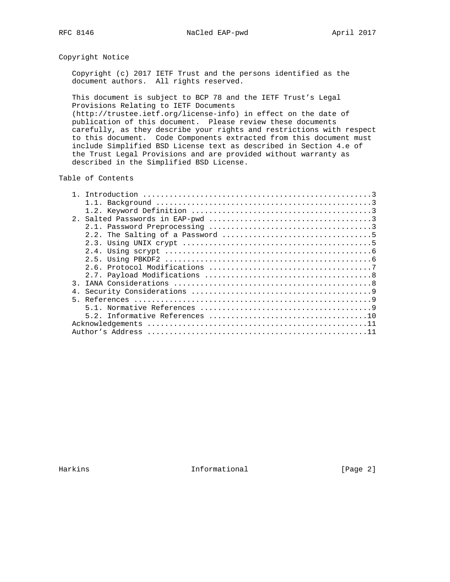## Copyright Notice

 Copyright (c) 2017 IETF Trust and the persons identified as the document authors. All rights reserved.

 This document is subject to BCP 78 and the IETF Trust's Legal Provisions Relating to IETF Documents (http://trustee.ietf.org/license-info) in effect on the date of

 publication of this document. Please review these documents carefully, as they describe your rights and restrictions with respect to this document. Code Components extracted from this document must include Simplified BSD License text as described in Section 4.e of the Trust Legal Provisions and are provided without warranty as described in the Simplified BSD License.

### Table of Contents

| $\mathcal{R}$ |  |
|---------------|--|
|               |  |
|               |  |
|               |  |
|               |  |
|               |  |
|               |  |

Harkins **Informational Informational** [Page 2]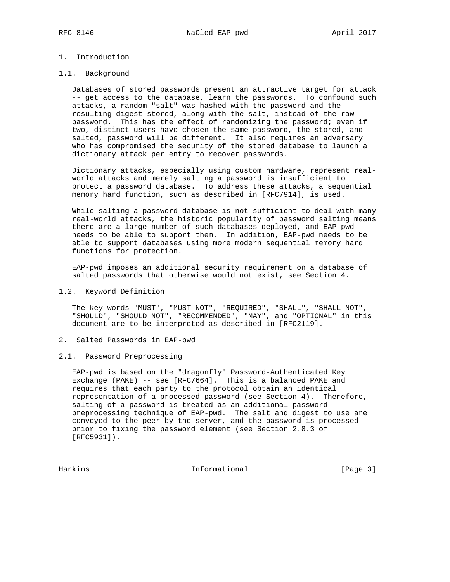# 1. Introduction

### 1.1. Background

 Databases of stored passwords present an attractive target for attack -- get access to the database, learn the passwords. To confound such attacks, a random "salt" was hashed with the password and the resulting digest stored, along with the salt, instead of the raw password. This has the effect of randomizing the password; even if two, distinct users have chosen the same password, the stored, and salted, password will be different. It also requires an adversary who has compromised the security of the stored database to launch a dictionary attack per entry to recover passwords.

 Dictionary attacks, especially using custom hardware, represent real world attacks and merely salting a password is insufficient to protect a password database. To address these attacks, a sequential memory hard function, such as described in [RFC7914], is used.

 While salting a password database is not sufficient to deal with many real-world attacks, the historic popularity of password salting means there are a large number of such databases deployed, and EAP-pwd needs to be able to support them. In addition, EAP-pwd needs to be able to support databases using more modern sequential memory hard functions for protection.

 EAP-pwd imposes an additional security requirement on a database of salted passwords that otherwise would not exist, see Section 4.

#### 1.2. Keyword Definition

 The key words "MUST", "MUST NOT", "REQUIRED", "SHALL", "SHALL NOT", "SHOULD", "SHOULD NOT", "RECOMMENDED", "MAY", and "OPTIONAL" in this document are to be interpreted as described in [RFC2119].

- 2. Salted Passwords in EAP-pwd
- 2.1. Password Preprocessing

 EAP-pwd is based on the "dragonfly" Password-Authenticated Key Exchange (PAKE) -- see [RFC7664]. This is a balanced PAKE and requires that each party to the protocol obtain an identical representation of a processed password (see Section 4). Therefore, salting of a password is treated as an additional password preprocessing technique of EAP-pwd. The salt and digest to use are conveyed to the peer by the server, and the password is processed prior to fixing the password element (see Section 2.8.3 of [RFC5931]).

Harkins 1nformational [Page 3]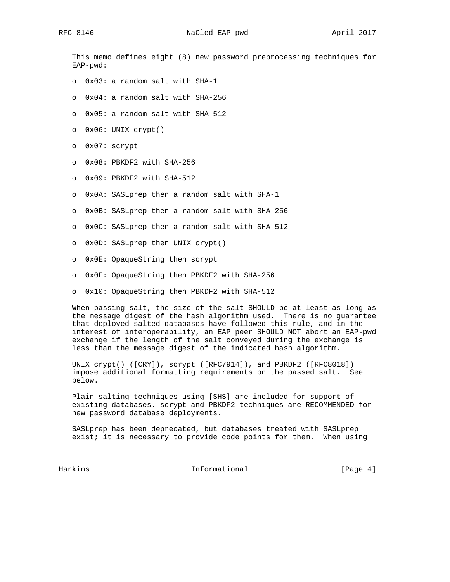This memo defines eight (8) new password preprocessing techniques for EAP-pwd:

- o 0x03: a random salt with SHA-1
- o 0x04: a random salt with SHA-256
- o 0x05: a random salt with SHA-512
- o 0x06: UNIX crypt()
- o 0x07: scrypt
- o 0x08: PBKDF2 with SHA-256
- o 0x09: PBKDF2 with SHA-512
- o 0x0A: SASLprep then a random salt with SHA-1
- o 0x0B: SASLprep then a random salt with SHA-256
- o 0x0C: SASLprep then a random salt with SHA-512
- o 0x0D: SASLprep then UNIX crypt()
- o 0x0E: OpaqueString then scrypt
- o 0x0F: OpaqueString then PBKDF2 with SHA-256
- o 0x10: OpaqueString then PBKDF2 with SHA-512

 When passing salt, the size of the salt SHOULD be at least as long as the message digest of the hash algorithm used. There is no guarantee that deployed salted databases have followed this rule, and in the interest of interoperability, an EAP peer SHOULD NOT abort an EAP-pwd exchange if the length of the salt conveyed during the exchange is less than the message digest of the indicated hash algorithm.

 UNIX crypt() ([CRY]), scrypt ([RFC7914]), and PBKDF2 ([RFC8018]) impose additional formatting requirements on the passed salt. See below.

 Plain salting techniques using [SHS] are included for support of existing databases. scrypt and PBKDF2 techniques are RECOMMENDED for new password database deployments.

 SASLprep has been deprecated, but databases treated with SASLprep exist; it is necessary to provide code points for them. When using

Harkins **Informational Informational** [Page 4]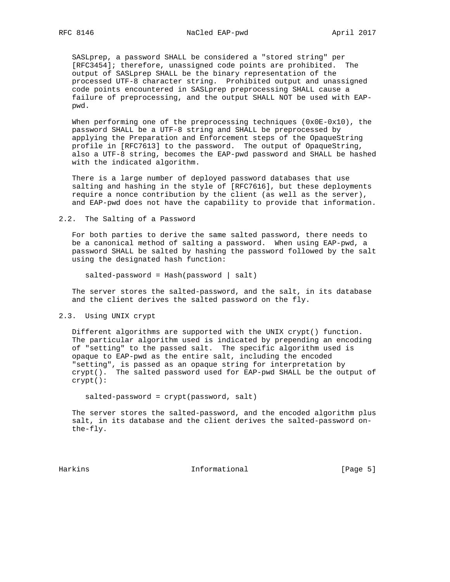SASLprep, a password SHALL be considered a "stored string" per [RFC3454]; therefore, unassigned code points are prohibited. The output of SASLprep SHALL be the binary representation of the processed UTF-8 character string. Prohibited output and unassigned code points encountered in SASLprep preprocessing SHALL cause a failure of preprocessing, and the output SHALL NOT be used with EAP pwd.

When performing one of the preprocessing techniques (0x0E-0x10), the password SHALL be a UTF-8 string and SHALL be preprocessed by applying the Preparation and Enforcement steps of the OpaqueString profile in [RFC7613] to the password. The output of OpaqueString, also a UTF-8 string, becomes the EAP-pwd password and SHALL be hashed with the indicated algorithm.

 There is a large number of deployed password databases that use salting and hashing in the style of [RFC7616], but these deployments require a nonce contribution by the client (as well as the server), and EAP-pwd does not have the capability to provide that information.

2.2. The Salting of a Password

 For both parties to derive the same salted password, there needs to be a canonical method of salting a password. When using EAP-pwd, a password SHALL be salted by hashing the password followed by the salt using the designated hash function:

salted-password = Hash(password | salt)

 The server stores the salted-password, and the salt, in its database and the client derives the salted password on the fly.

2.3. Using UNIX crypt

 Different algorithms are supported with the UNIX crypt() function. The particular algorithm used is indicated by prepending an encoding of "setting" to the passed salt. The specific algorithm used is opaque to EAP-pwd as the entire salt, including the encoded "setting", is passed as an opaque string for interpretation by crypt(). The salted password used for EAP-pwd SHALL be the output of crypt():

salted-password = crypt(password, salt)

 The server stores the salted-password, and the encoded algorithm plus salt, in its database and the client derives the salted-password on the-fly.

Harkins Informational [Page 5]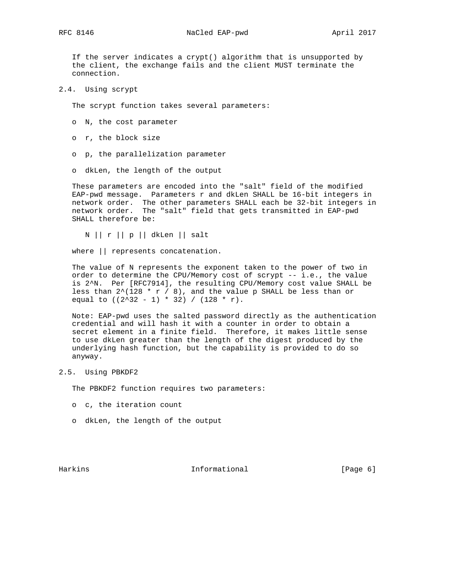If the server indicates a crypt() algorithm that is unsupported by the client, the exchange fails and the client MUST terminate the connection.

2.4. Using scrypt

The scrypt function takes several parameters:

- o N, the cost parameter
- o r, the block size
- o p, the parallelization parameter
- o dkLen, the length of the output

 These parameters are encoded into the "salt" field of the modified EAP-pwd message. Parameters r and dkLen SHALL be 16-bit integers in network order. The other parameters SHALL each be 32-bit integers in network order. The "salt" field that gets transmitted in EAP-pwd SHALL therefore be:

N || r || p || dkLen || salt

where || represents concatenation.

 The value of N represents the exponent taken to the power of two in order to determine the CPU/Memory cost of scrypt -- i.e., the value is 2^N. Per [RFC7914], the resulting CPU/Memory cost value SHALL be less than  $2^{\wedge}(128 * r / 8)$ , and the value p SHALL be less than or equal to  $((2^332 - 1) * 32) / (128 * r)$ .

 Note: EAP-pwd uses the salted password directly as the authentication credential and will hash it with a counter in order to obtain a secret element in a finite field. Therefore, it makes little sense to use dkLen greater than the length of the digest produced by the underlying hash function, but the capability is provided to do so anyway.

### 2.5. Using PBKDF2

The PBKDF2 function requires two parameters:

- o c, the iteration count
- o dkLen, the length of the output

Harkins **Informational Informational** [Page 6]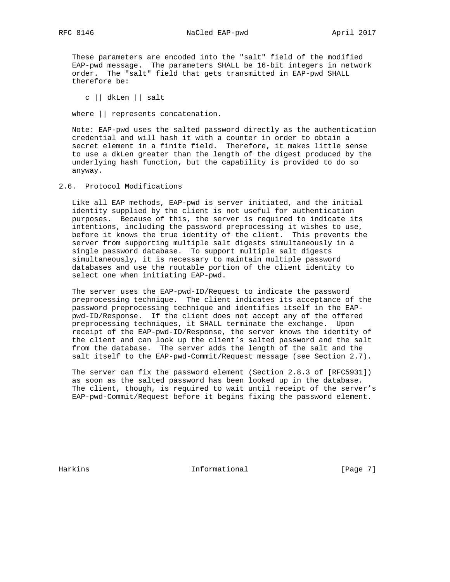These parameters are encoded into the "salt" field of the modified EAP-pwd message. The parameters SHALL be 16-bit integers in network order. The "salt" field that gets transmitted in EAP-pwd SHALL therefore be:

c || dkLen || salt

where || represents concatenation.

 Note: EAP-pwd uses the salted password directly as the authentication credential and will hash it with a counter in order to obtain a secret element in a finite field. Therefore, it makes little sense to use a dkLen greater than the length of the digest produced by the underlying hash function, but the capability is provided to do so anyway.

2.6. Protocol Modifications

 Like all EAP methods, EAP-pwd is server initiated, and the initial identity supplied by the client is not useful for authentication purposes. Because of this, the server is required to indicate its intentions, including the password preprocessing it wishes to use, before it knows the true identity of the client. This prevents the server from supporting multiple salt digests simultaneously in a single password database. To support multiple salt digests simultaneously, it is necessary to maintain multiple password databases and use the routable portion of the client identity to select one when initiating EAP-pwd.

 The server uses the EAP-pwd-ID/Request to indicate the password preprocessing technique. The client indicates its acceptance of the password preprocessing technique and identifies itself in the EAP pwd-ID/Response. If the client does not accept any of the offered preprocessing techniques, it SHALL terminate the exchange. Upon receipt of the EAP-pwd-ID/Response, the server knows the identity of the client and can look up the client's salted password and the salt from the database. The server adds the length of the salt and the salt itself to the EAP-pwd-Commit/Request message (see Section 2.7).

 The server can fix the password element (Section 2.8.3 of [RFC5931]) as soon as the salted password has been looked up in the database. The client, though, is required to wait until receipt of the server's EAP-pwd-Commit/Request before it begins fixing the password element.

Harkins **Informational Informational** [Page 7]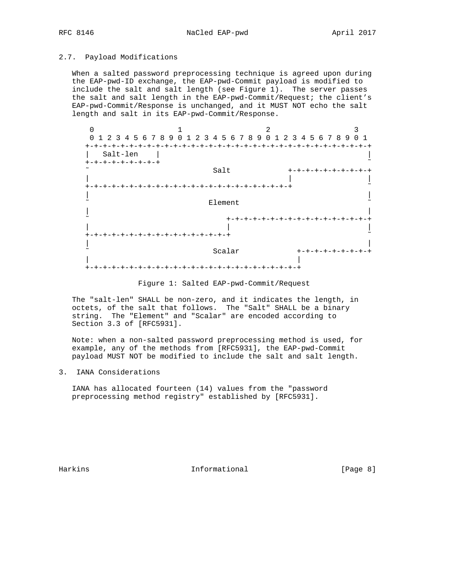## 2.7. Payload Modifications

 When a salted password preprocessing technique is agreed upon during the EAP-pwd-ID exchange, the EAP-pwd-Commit payload is modified to include the salt and salt length (see Figure 1). The server passes the salt and salt length in the EAP-pwd-Commit/Request; the client's EAP-pwd-Commit/Response is unchanged, and it MUST NOT echo the salt length and salt in its EAP-pwd-Commit/Response.



Figure 1: Salted EAP-pwd-Commit/Request

 The "salt-len" SHALL be non-zero, and it indicates the length, in octets, of the salt that follows. The "Salt" SHALL be a binary string. The "Element" and "Scalar" are encoded according to Section 3.3 of [RFC5931].

 Note: when a non-salted password preprocessing method is used, for example, any of the methods from [RFC5931], the EAP-pwd-Commit payload MUST NOT be modified to include the salt and salt length.

3. IANA Considerations

 IANA has allocated fourteen (14) values from the "password preprocessing method registry" established by [RFC5931].

Harkins 1nformational 1999 [Page 8]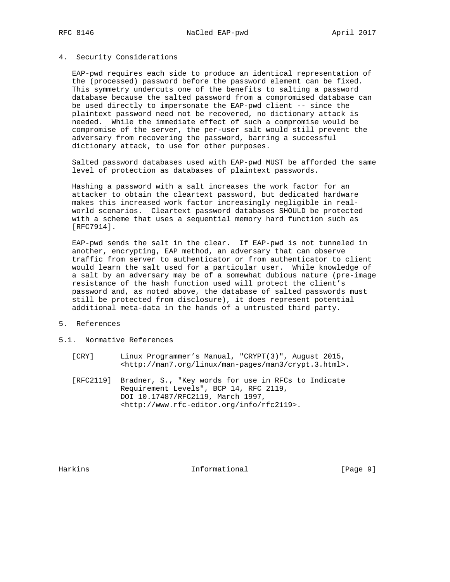#### 4. Security Considerations

 EAP-pwd requires each side to produce an identical representation of the (processed) password before the password element can be fixed. This symmetry undercuts one of the benefits to salting a password database because the salted password from a compromised database can be used directly to impersonate the EAP-pwd client -- since the plaintext password need not be recovered, no dictionary attack is needed. While the immediate effect of such a compromise would be compromise of the server, the per-user salt would still prevent the adversary from recovering the password, barring a successful dictionary attack, to use for other purposes.

 Salted password databases used with EAP-pwd MUST be afforded the same level of protection as databases of plaintext passwords.

 Hashing a password with a salt increases the work factor for an attacker to obtain the cleartext password, but dedicated hardware makes this increased work factor increasingly negligible in real world scenarios. Cleartext password databases SHOULD be protected with a scheme that uses a sequential memory hard function such as [RFC7914].

 EAP-pwd sends the salt in the clear. If EAP-pwd is not tunneled in another, encrypting, EAP method, an adversary that can observe traffic from server to authenticator or from authenticator to client would learn the salt used for a particular user. While knowledge of a salt by an adversary may be of a somewhat dubious nature (pre-image resistance of the hash function used will protect the client's password and, as noted above, the database of salted passwords must still be protected from disclosure), it does represent potential additional meta-data in the hands of a untrusted third party.

### 5. References

- 5.1. Normative References
	- [CRY] Linux Programmer's Manual, "CRYPT(3)", August 2015, <http://man7.org/linux/man-pages/man3/crypt.3.html>.
	- [RFC2119] Bradner, S., "Key words for use in RFCs to Indicate Requirement Levels", BCP 14, RFC 2119, DOI 10.17487/RFC2119, March 1997, <http://www.rfc-editor.org/info/rfc2119>.

Harkins **Informational Informational** [Page 9]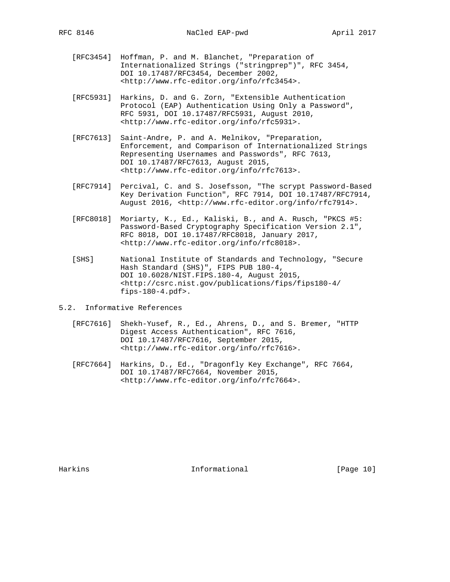- [RFC3454] Hoffman, P. and M. Blanchet, "Preparation of Internationalized Strings ("stringprep")", RFC 3454, DOI 10.17487/RFC3454, December 2002, <http://www.rfc-editor.org/info/rfc3454>.
- [RFC5931] Harkins, D. and G. Zorn, "Extensible Authentication Protocol (EAP) Authentication Using Only a Password", RFC 5931, DOI 10.17487/RFC5931, August 2010, <http://www.rfc-editor.org/info/rfc5931>.
- [RFC7613] Saint-Andre, P. and A. Melnikov, "Preparation, Enforcement, and Comparison of Internationalized Strings Representing Usernames and Passwords", RFC 7613, DOI 10.17487/RFC7613, August 2015, <http://www.rfc-editor.org/info/rfc7613>.
- [RFC7914] Percival, C. and S. Josefsson, "The scrypt Password-Based Key Derivation Function", RFC 7914, DOI 10.17487/RFC7914, August 2016, <http://www.rfc-editor.org/info/rfc7914>.
- [RFC8018] Moriarty, K., Ed., Kaliski, B., and A. Rusch, "PKCS #5: Password-Based Cryptography Specification Version 2.1", RFC 8018, DOI 10.17487/RFC8018, January 2017, <http://www.rfc-editor.org/info/rfc8018>.
- [SHS] National Institute of Standards and Technology, "Secure Hash Standard (SHS)", FIPS PUB 180-4, DOI 10.6028/NIST.FIPS.180-4, August 2015, <http://csrc.nist.gov/publications/fips/fips180-4/ fips-180-4.pdf>.
- 5.2. Informative References
	- [RFC7616] Shekh-Yusef, R., Ed., Ahrens, D., and S. Bremer, "HTTP Digest Access Authentication", RFC 7616, DOI 10.17487/RFC7616, September 2015, <http://www.rfc-editor.org/info/rfc7616>.
	- [RFC7664] Harkins, D., Ed., "Dragonfly Key Exchange", RFC 7664, DOI 10.17487/RFC7664, November 2015, <http://www.rfc-editor.org/info/rfc7664>.

Harkins 10 Informational [Page 10]